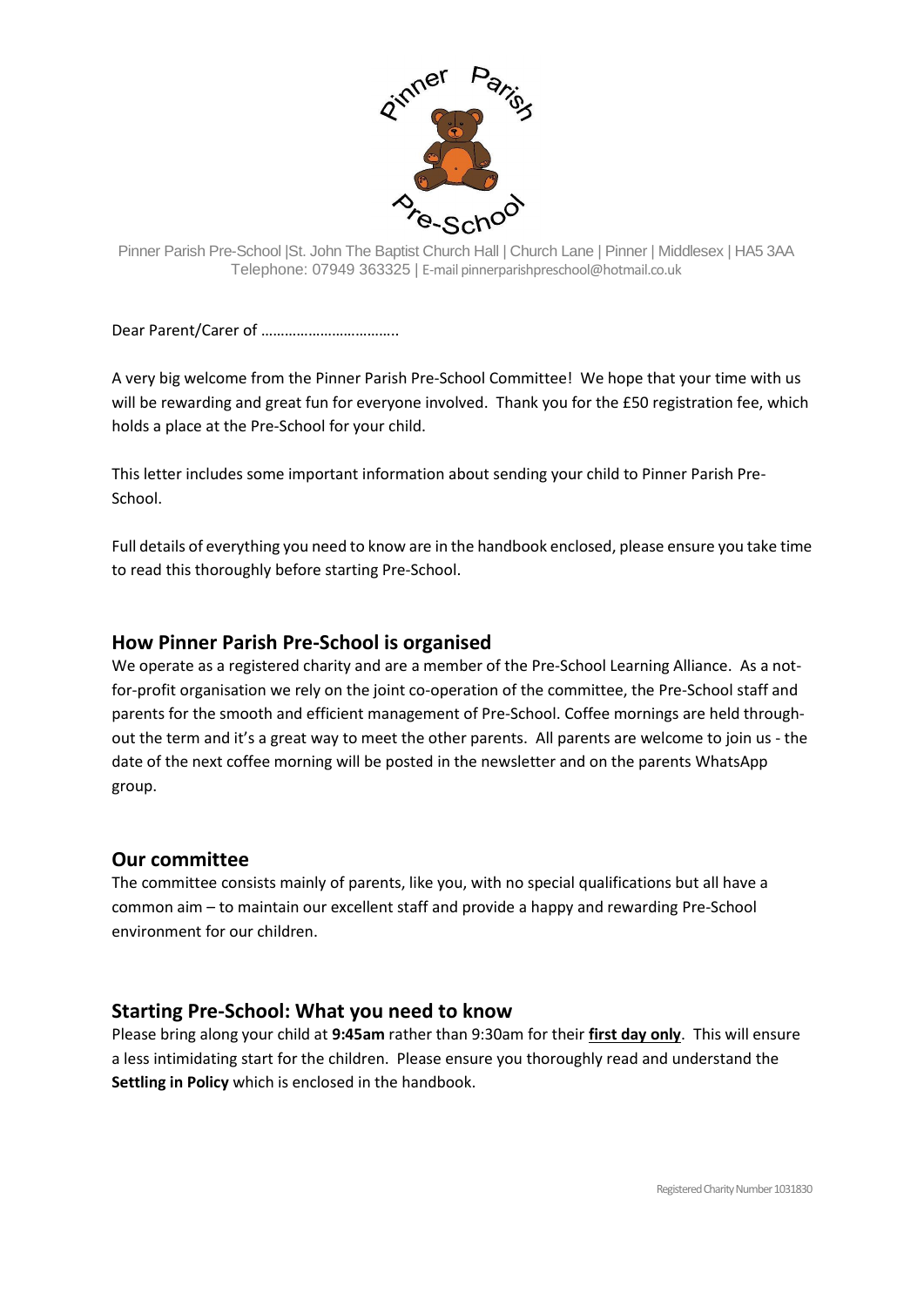

Pinner Parish Pre-School |St. John The Baptist Church Hall | Church Lane | Pinner | Middlesex | HA5 3AA Telephone: 07949 363325 | E-mail pinnerparishpreschool@hotmail.co.uk

Dear Parent/Carer of ……………………………..

A very big welcome from the Pinner Parish Pre-School Committee! We hope that your time with us will be rewarding and great fun for everyone involved. Thank you for the £50 registration fee, which holds a place at the Pre-School for your child.

This letter includes some important information about sending your child to Pinner Parish Pre-School.

Full details of everything you need to know are in the handbook enclosed, please ensure you take time to read this thoroughly before starting Pre-School.

# **How Pinner Parish Pre-School is organised**

We operate as a registered charity and are a member of the Pre-School Learning Alliance. As a notfor-profit organisation we rely on the joint co-operation of the committee, the Pre-School staff and parents for the smooth and efficient management of Pre-School. Coffee mornings are held throughout the term and it's a great way to meet the other parents. All parents are welcome to join us - the date of the next coffee morning will be posted in the newsletter and on the parents WhatsApp group.

# **Our committee**

The committee consists mainly of parents, like you, with no special qualifications but all have a common aim – to maintain our excellent staff and provide a happy and rewarding Pre-School environment for our children.

# **Starting Pre-School: What you need to know**

Please bring along your child at **9:45am** rather than 9:30am for their **first day only**. This will ensure a less intimidating start for the children. Please ensure you thoroughly read and understand the **Settling in Policy** which is enclosed in the handbook.